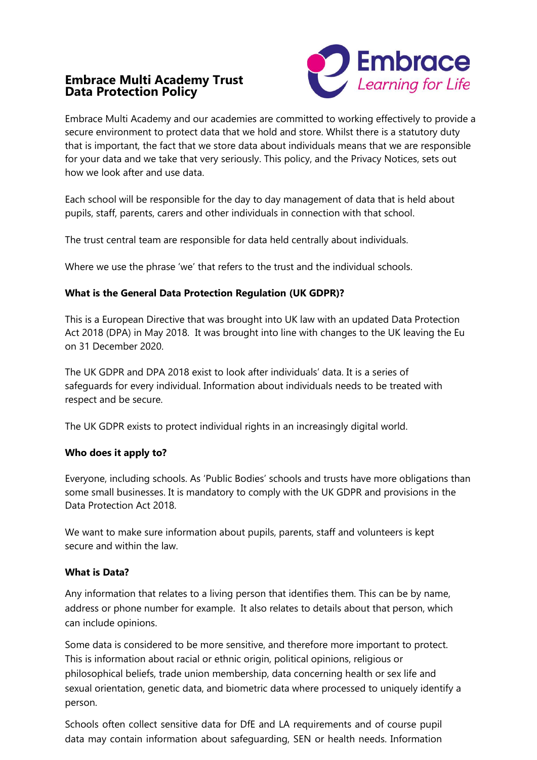# **Embrace Multi Academy Trust Data Protection Policy**



Embrace Multi Academy and our academies are committed to working effectively to provide a secure environment to protect data that we hold and store. Whilst there is a statutory duty that is important, the fact that we store data about individuals means that we are responsible for your data and we take that very seriously. This policy, and the Privacy Notices, sets out how we look after and use data.

Each school will be responsible for the day to day management of data that is held about pupils, staff, parents, carers and other individuals in connection with that school.

The trust central team are responsible for data held centrally about individuals.

Where we use the phrase 'we' that refers to the trust and the individual schools.

## **What is the General Data Protection Regulation (UK GDPR)?**

This is a European Directive that was brought into UK law with an updated Data Protection Act 2018 (DPA) in May 2018. It was brought into line with changes to the UK leaving the Eu on 31 December 2020.

The UK GDPR and DPA 2018 exist to look after individuals' data. It is a series of safeguards for every individual. Information about individuals needs to be treated with respect and be secure.

The UK GDPR exists to protect individual rights in an increasingly digital world.

### **Who does it apply to?**

Everyone, including schools. As 'Public Bodies' schools and trusts have more obligations than some small businesses. It is mandatory to comply with the UK GDPR and provisions in the Data Protection Act 2018.

We want to make sure information about pupils, parents, staff and volunteers is kept secure and within the law.

### **What is Data?**

Any information that relates to a living person that identifies them. This can be by name, address or phone number for example. It also relates to details about that person, which can include opinions.

Some data is considered to be more sensitive, and therefore more important to protect. This is information about racial or ethnic origin, political opinions, religious or philosophical beliefs, trade union membership, data concerning health or sex life and sexual orientation, genetic data, and biometric data where processed to uniquely identify a person.

Schools often collect sensitive data for DfE and LA requirements and of course pupil data may contain information about safeguarding, SEN or health needs. Information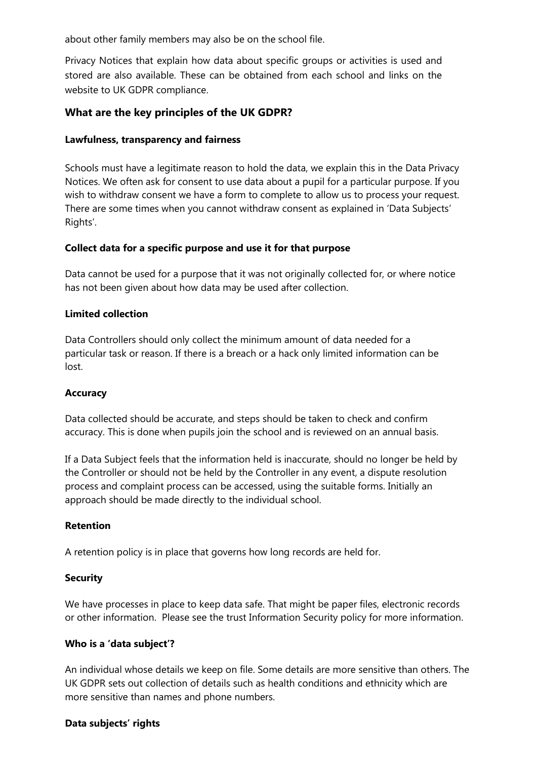about other family members may also be on the school file.

Privacy Notices that explain how data about specific groups or activities is used and stored are also available. These can be obtained from each school and links on the website to UK GDPR compliance.

## **What are the key principles of the UK GDPR?**

#### **Lawfulness, transparency and fairness**

Schools must have a legitimate reason to hold the data, we explain this in the Data Privacy Notices. We often ask for consent to use data about a pupil for a particular purpose. If you wish to withdraw consent we have a form to complete to allow us to process your request. There are some times when you cannot withdraw consent as explained in 'Data Subjects' Rights'.

#### **Collect data for a specific purpose and use it for that purpose**

Data cannot be used for a purpose that it was not originally collected for, or where notice has not been given about how data may be used after collection.

#### **Limited collection**

Data Controllers should only collect the minimum amount of data needed for a particular task or reason. If there is a breach or a hack only limited information can be lost.

### **Accuracy**

Data collected should be accurate, and steps should be taken to check and confirm accuracy. This is done when pupils join the school and is reviewed on an annual basis.

If a Data Subject feels that the information held is inaccurate, should no longer be held by the Controller or should not be held by the Controller in any event, a dispute resolution process and complaint process can be accessed, using the suitable forms. Initially an approach should be made directly to the individual school.

#### **Retention**

A retention policy is in place that governs how long records are held for.

#### **Security**

We have processes in place to keep data safe. That might be paper files, electronic records or other information. Please see the trust Information Security policy for more information.

#### **Who is a 'data subject'?**

An individual whose details we keep on file. Some details are more sensitive than others. The UK GDPR sets out collection of details such as health conditions and ethnicity which are more sensitive than names and phone numbers.

### **Data subjects' rights**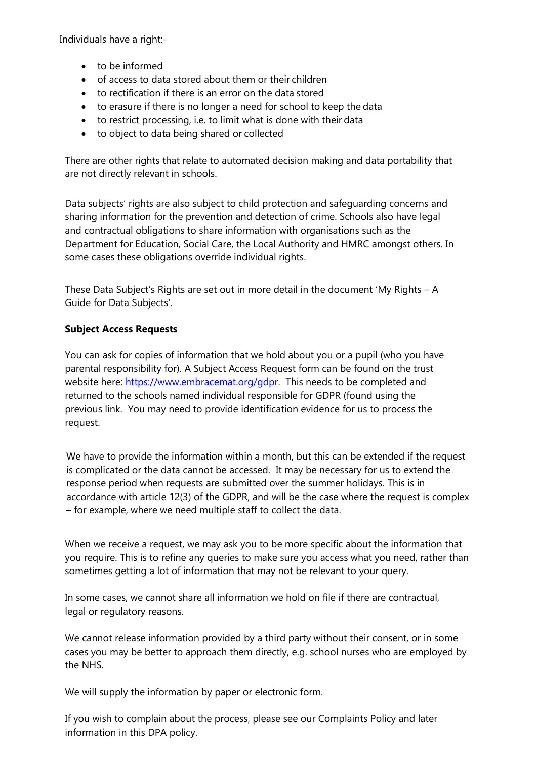Individuals have a right:-

- to be informed
- of access to data stored about them or their children
- to rectification if there is an error on the data stored
- to erasure if there is no longer a need for school to keep the data
- to restrict processing, i.e. to limit what is done with their data
- to object to data being shared or collected

There are other rights that relate to automated decision making and data portability that are not directly relevant in schools.

Data subjects' rights are also subject to child protection and safeguarding concerns and sharing information for the prevention and detection of crime. Schools also have legal and contractual obligations to share information with organisations such as the Department for Education, Social Care, the Local Authority and HMRC amongst others. In some cases these obligations override individual rights.

These Data Subject's Rights are set out in more detail in the document 'My Rights – A Guide for Data Subjects'.

### **Subject Access Requests**

You can ask for copies of information that we hold about you or a pupil (who you have parental responsibility for). A Subject Access Request form can be found on the trust website here: [https://www.embracemat.org/gdpr.](https://www.embracemat.org/gdpr) This needs to be completed and returned to the schools named individual responsible for GDPR (found using the previous link. You may need to provide identification evidence for us to process the request.

We have to provide the information within a month, but this can be extended if the request is complicated or the data cannot be accessed. It may be necessary for us to extend the response period when requests are submitted over the summer holidays. This is in accordance with article 12(3) of the GDPR, and will be the case where the request is complex – for example, where we need multiple staff to collect the data.

When we receive a request, we may ask you to be more specific about the information that you require. This is to refine any queries to make sure you access what you need, rather than sometimes getting a lot of information that may not be relevant to your query.

In some cases, we cannot share all information we hold on file if there are contractual, legal or regulatory reasons.

We cannot release information provided by a third party without their consent, or in some cases you may be better to approach them directly, e.g. school nurses who are employed by the NHS.

We will supply the information by paper or electronic form.

If you wish to complain about the process, please see our Complaints Policy and later information in this DPA policy.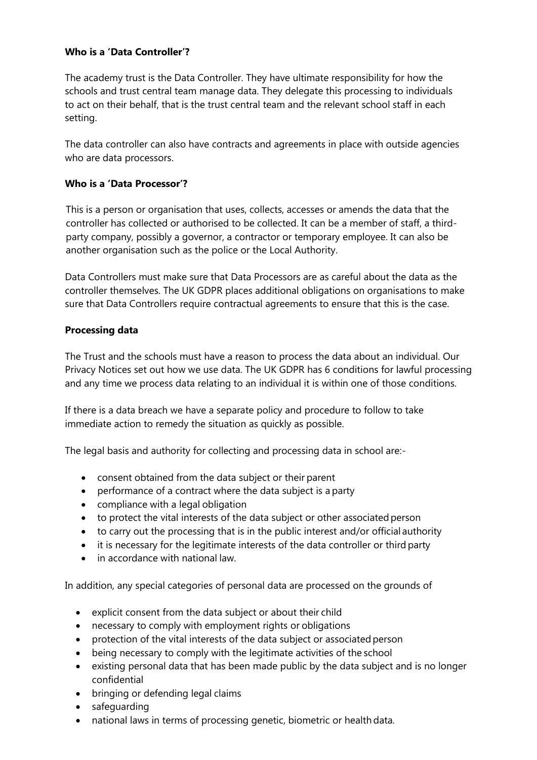#### **Who is a 'Data Controller'?**

The academy trust is the Data Controller. They have ultimate responsibility for how the schools and trust central team manage data. They delegate this processing to individuals to act on their behalf, that is the trust central team and the relevant school staff in each setting.

The data controller can also have contracts and agreements in place with outside agencies who are data processors.

#### **Who is a 'Data Processor'?**

This is a person or organisation that uses, collects, accesses or amends the data that the controller has collected or authorised to be collected. It can be a member of staff, a thirdparty company, possibly a governor, a contractor or temporary employee. It can also be another organisation such as the police or the Local Authority.

Data Controllers must make sure that Data Processors are as careful about the data as the controller themselves. The UK GDPR places additional obligations on organisations to make sure that Data Controllers require contractual agreements to ensure that this is the case.

#### **Processing data**

The Trust and the schools must have a reason to process the data about an individual. Our Privacy Notices set out how we use data. The UK GDPR has 6 conditions for lawful processing and any time we process data relating to an individual it is within one of those conditions.

If there is a data breach we have a separate policy and procedure to follow to take immediate action to remedy the situation as quickly as possible.

The legal basis and authority for collecting and processing data in school are:-

- consent obtained from the data subject or their parent
- performance of a contract where the data subject is a party
- compliance with a legal obligation
- to protect the vital interests of the data subject or other associated person
- to carry out the processing that is in the public interest and/or official authority
- it is necessary for the legitimate interests of the data controller or third party
- in accordance with national law.

In addition, any special categories of personal data are processed on the grounds of

- explicit consent from the data subject or about their child
- necessary to comply with employment rights or obligations
- protection of the vital interests of the data subject or associated person
- being necessary to comply with the legitimate activities of the school
- existing personal data that has been made public by the data subject and is no longer confidential
- bringing or defending legal claims
- safeguarding
- national laws in terms of processing genetic, biometric or health data.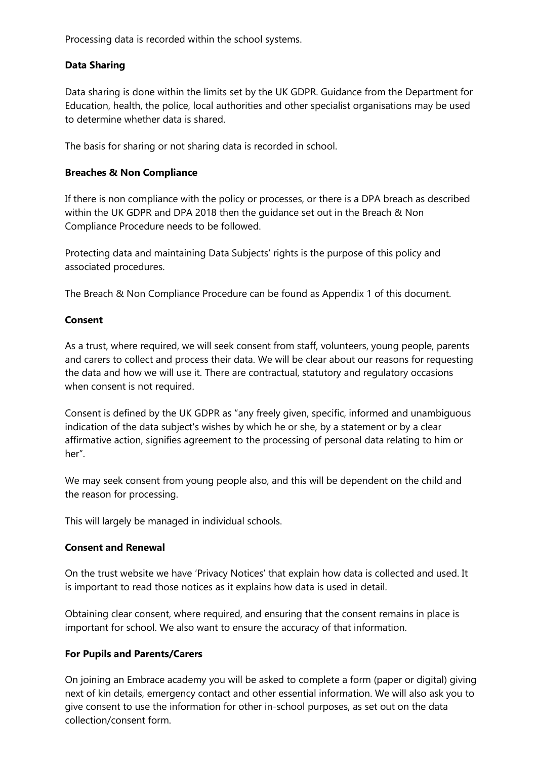Processing data is recorded within the school systems.

## **Data Sharing**

Data sharing is done within the limits set by the UK GDPR. Guidance from the Department for Education, health, the police, local authorities and other specialist organisations may be used to determine whether data is shared.

The basis for sharing or not sharing data is recorded in school.

#### **Breaches & Non Compliance**

If there is non compliance with the policy or processes, or there is a DPA breach as described within the UK GDPR and DPA 2018 then the guidance set out in the Breach & Non Compliance Procedure needs to be followed.

Protecting data and maintaining Data Subjects' rights is the purpose of this policy and associated procedures.

The Breach & Non Compliance Procedure can be found as Appendix 1 of this document.

#### **Consent**

As a trust, where required, we will seek consent from staff, volunteers, young people, parents and carers to collect and process their data. We will be clear about our reasons for requesting the data and how we will use it. There are contractual, statutory and regulatory occasions when consent is not required.

Consent is defined by the UK GDPR as "any freely given, specific, informed and unambiguous indication of the data subject's wishes by which he or she, by a statement or by a clear affirmative action, signifies agreement to the processing of personal data relating to him or her".

We may seek consent from young people also, and this will be dependent on the child and the reason for processing.

This will largely be managed in individual schools.

#### **Consent and Renewal**

On the trust website we have 'Privacy Notices' that explain how data is collected and used. It is important to read those notices as it explains how data is used in detail.

Obtaining clear consent, where required, and ensuring that the consent remains in place is important for school. We also want to ensure the accuracy of that information.

### **For Pupils and Parents/Carers**

On joining an Embrace academy you will be asked to complete a form (paper or digital) giving next of kin details, emergency contact and other essential information. We will also ask you to give consent to use the information for other in-school purposes, as set out on the data collection/consent form.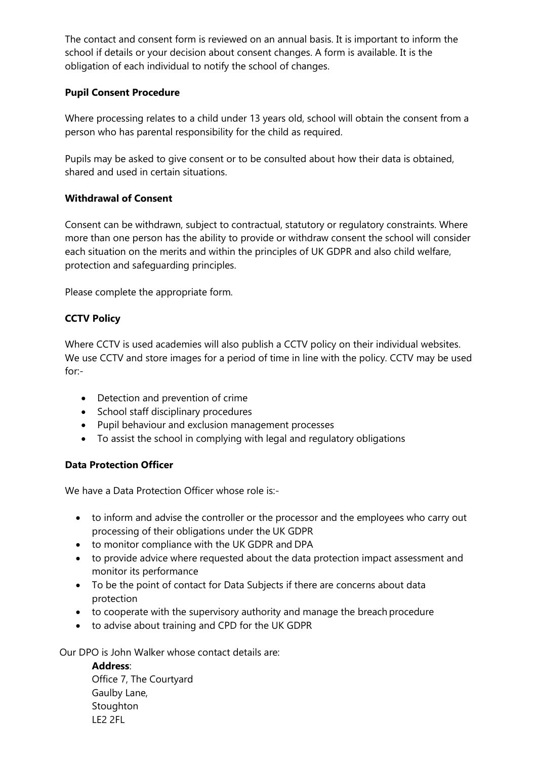The contact and consent form is reviewed on an annual basis. It is important to inform the school if details or your decision about consent changes. A form is available. It is the obligation of each individual to notify the school of changes.

## **Pupil Consent Procedure**

Where processing relates to a child under 13 years old, school will obtain the consent from a person who has parental responsibility for the child as required.

Pupils may be asked to give consent or to be consulted about how their data is obtained, shared and used in certain situations.

## **Withdrawal of Consent**

Consent can be withdrawn, subject to contractual, statutory or regulatory constraints. Where more than one person has the ability to provide or withdraw consent the school will consider each situation on the merits and within the principles of UK GDPR and also child welfare, protection and safeguarding principles.

Please complete the appropriate form.

# **CCTV Policy**

Where CCTV is used academies will also publish a CCTV policy on their individual websites. We use CCTV and store images for a period of time in line with the policy. CCTV may be used for:-

- Detection and prevention of crime
- School staff disciplinary procedures
- Pupil behaviour and exclusion management processes
- To assist the school in complying with legal and regulatory obligations

### **Data Protection Officer**

We have a Data Protection Officer whose role is:-

- to inform and advise the controller or the processor and the employees who carry out processing of their obligations under the UK GDPR
- to monitor compliance with the UK GDPR and DPA
- to provide advice where requested about the data protection impact assessment and monitor its performance
- To be the point of contact for Data Subjects if there are concerns about data protection
- to cooperate with the supervisory authority and manage the breach procedure
- to advise about training and CPD for the UK GDPR

Our DPO is John Walker whose contact details are:

# **Address**:

Office 7, The Courtyard Gaulby Lane, **Stoughton** LE2 2FL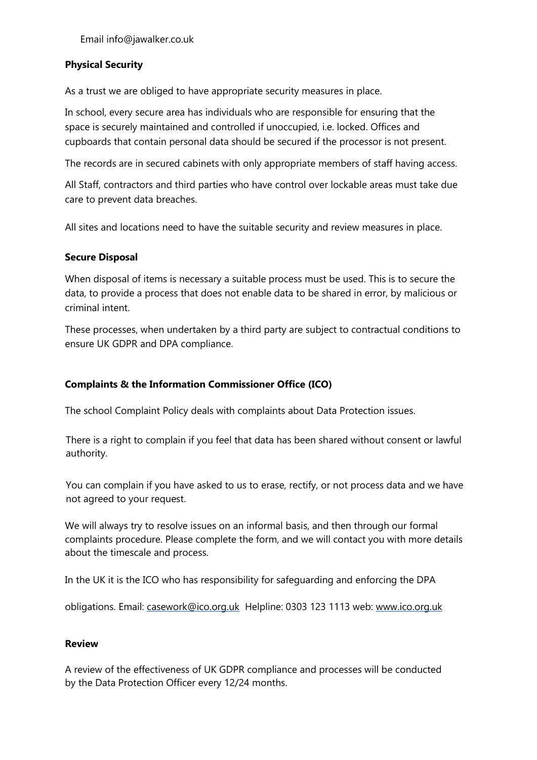## **Physical Security**

As a trust we are obliged to have appropriate security measures in place.

In school, every secure area has individuals who are responsible for ensuring that the space is securely maintained and controlled if unoccupied, i.e. locked. Offices and cupboards that contain personal data should be secured if the processor is not present.

The records are in secured cabinets with only appropriate members of staff having access.

All Staff, contractors and third parties who have control over lockable areas must take due care to prevent data breaches.

All sites and locations need to have the suitable security and review measures in place.

#### **Secure Disposal**

When disposal of items is necessary a suitable process must be used. This is to secure the data, to provide a process that does not enable data to be shared in error, by malicious or criminal intent.

These processes, when undertaken by a third party are subject to contractual conditions to ensure UK GDPR and DPA compliance.

## **Complaints & the Information Commissioner Office (ICO)**

The school Complaint Policy deals with complaints about Data Protection issues.

There is a right to complain if you feel that data has been shared without consent or lawful authority.

You can complain if you have asked to us to erase, rectify, or not process data and we have not agreed to your request.

We will always try to resolve issues on an informal basis, and then through our formal complaints procedure. Please complete the form, and we will contact you with more details about the timescale and process.

In the UK it is the ICO who has responsibility for safeguarding and enforcing the DPA

obligations. Email: [casework@ico.org.uk](mailto:casework@ico.org.uk) Helpline: 0303 123 1113 web: [www.ico.org.uk](http://www.ico.org.uk/)

### **Review**

A review of the effectiveness of UK GDPR compliance and processes will be conducted by the Data Protection Officer every 12/24 months.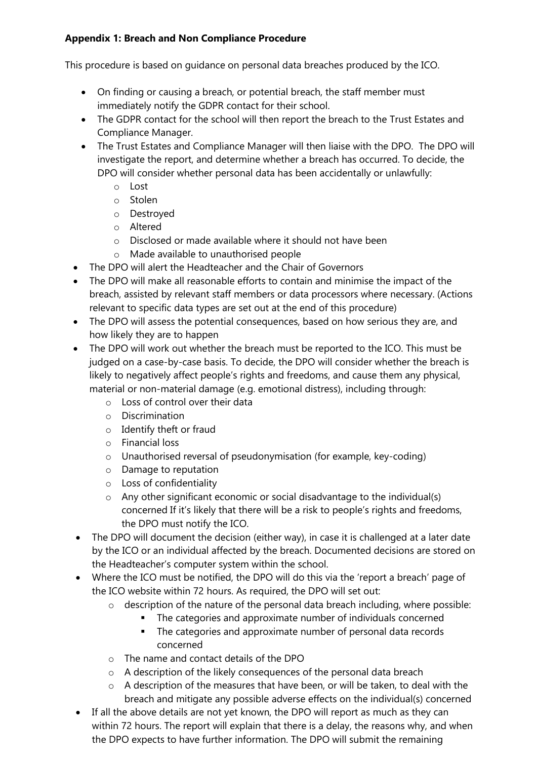# **Appendix 1: Breach and Non Compliance Procedure**

This procedure is based on guidance on personal data breaches produced by the ICO.

- On finding or causing a breach, or potential breach, the staff member must immediately notify the GDPR contact for their school.
- The GDPR contact for the school will then report the breach to the Trust Estates and Compliance Manager.
- The Trust Estates and Compliance Manager will then liaise with the DPO. The DPO will investigate the report, and determine whether a breach has occurred. To decide, the DPO will consider whether personal data has been accidentally or unlawfully:
	- o Lost
	- o Stolen
	- o Destroyed
	- o Altered
	- o Disclosed or made available where it should not have been
	- o Made available to unauthorised people
- The DPO will alert the Headteacher and the Chair of Governors
- The DPO will make all reasonable efforts to contain and minimise the impact of the breach, assisted by relevant staff members or data processors where necessary. (Actions relevant to specific data types are set out at the end of this procedure)
- The DPO will assess the potential consequences, based on how serious they are, and how likely they are to happen
- The DPO will work out whether the breach must be reported to the ICO. This must be judged on a case-by-case basis. To decide, the DPO will consider whether the breach is likely to negatively affect people's rights and freedoms, and cause them any physical, material or non-material damage (e.g. emotional distress), including through:
	- o Loss of control over their data
	- o Discrimination
	- o Identify theft or fraud
	- o Financial loss
	- o Unauthorised reversal of pseudonymisation (for example, key-coding)
	- o Damage to reputation
	- o Loss of confidentiality
	- o Any other significant economic or social disadvantage to the individual(s) concerned If it's likely that there will be a risk to people's rights and freedoms, the DPO must notify the ICO.
- The DPO will document the decision (either way), in case it is challenged at a later date by the ICO or an individual affected by the breach. Documented decisions are stored on the Headteacher's computer system within the school.
- Where the ICO must be notified, the DPO will do this via the 'report a breach' page of the ICO website within 72 hours. As required, the DPO will set out:
	- o description of the nature of the personal data breach including, where possible:
		- The categories and approximate number of individuals concerned
		- **•** The categories and approximate number of personal data records concerned
	- o The name and contact details of the DPO
	- o A description of the likely consequences of the personal data breach
	- o A description of the measures that have been, or will be taken, to deal with the breach and mitigate any possible adverse effects on the individual(s) concerned
- If all the above details are not yet known, the DPO will report as much as they can within 72 hours. The report will explain that there is a delay, the reasons why, and when the DPO expects to have further information. The DPO will submit the remaining